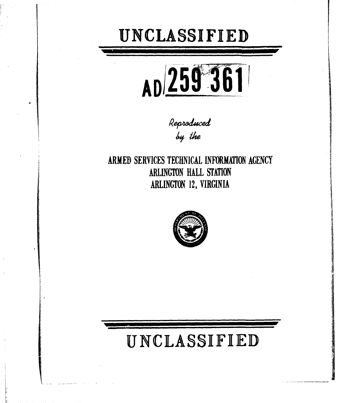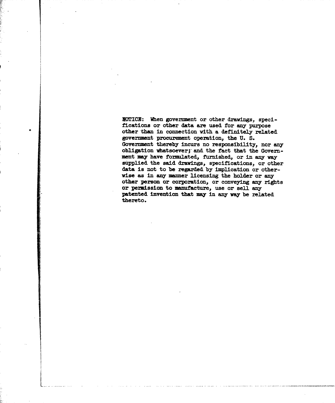**NOTICE:** When government or other drawings, specifications or other data are used for any purpose other than in connection with a definitely related government procurement operation, the **U. S.** Government thereby incurs no responsibility, nor any obligation whatsoever; and the fact that the Government **my** have formulated, furnished, or in any way supplied the said drawings, specifications, or other data is not to be regarded by implication or otherwise as in any manner licensing the holder or any other person or corporation, or conveying any rights or permission to manufacture, use or sell any patented invention that may in any way be related thereto.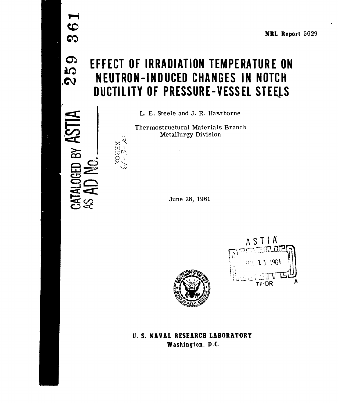# **CONDEFFECT OF IRRADIATION TEMPERATURE ON<br>
<b>ICO NEUTRON-INDUCED CHANGES IN NOTCH DUCTILITY OF PRESSURE-VESSEL STEELS**

L. **E.** Steele and **J.** R. Hawthorne

Thermostructural Materials Branch **Metallurgy Division** 

June 28, 1961



**U. S. NAVAL RESEARCH LABORATORY Washington. D.C.**

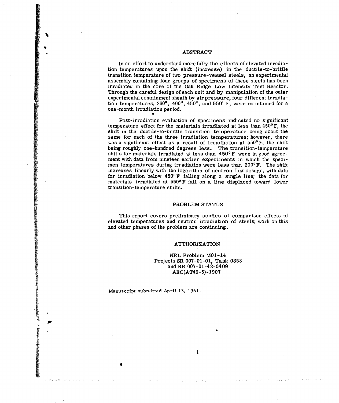# ABSTRACT

In an effort to understand more fully the effects of elevated irradiation temperatures upon the shift (increase) in the ductile-to-brittle transition temperature of two pressure-vessel steels, an experimental assembly containing four groups of specimens of these steels has been irradiated in the core of the Oak Ridge Low Intensity Test Reactor. Through the careful design of each unit and by manipulation of the outer experimental containment sheath by air pressure, four different irradiation temperatures,  $260^{\circ}$ ,  $400^{\circ}$ ,  $450^{\circ}$ , and  $550^{\circ}$  F, were maintained for a one-month irradiation period.

Post-irradiation evaluation of specimens indicated no significant temperature effect for the materials irradiated at less than  $450^{\circ}$  F, the shift in the ductile-to-brittle transition temperature being about the same for each of the three irradiation temperatures; however, there was a significant effect as a result of irradiation at 550°F, the shift being roughly one-hundred degrees less. The transition-temperature shifts for materials irradiated at less than  $450^{\circ}$ F were in good agreement with data from nineteen earlier experiments in which the specimen temperatures during irradiation were less than  $200^{\circ}$  F. The shift increases linearly with the logarithm of neutron flux dosage, with data for irradiation below  $450^{\circ}$  F falling along a single line; the data for materials irradiated at 5500 F fall on a line displaced toward lower transition-temperature shifts.

#### PROBLEM STATUS

This report covers preliminary studies of comparison effects of elevated temperatures and neutron irradiation of steels; work on this and other phases of the problem are continuing.

#### AUTHORIZATION

NRL Problem M01-14 Projects SR 007-01-01, Task 0858 and RR 007-01-42-5409 AEC(AT49-5)-1907

i

Manuscript subrritted April **13,** 1961.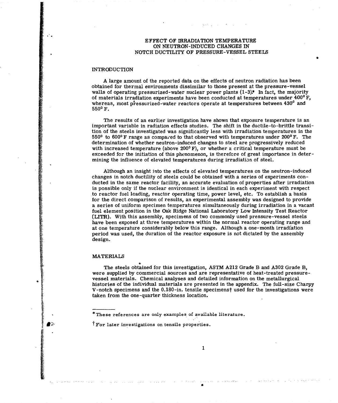# **EFFECT** OF IRRADIATION TEMPERATURE **ON NEUTRON-INDUCED CHANGES IN** NOTCH DUCTILITY OF PRESSURE-VESSEL STEELS

0

# INTRODUCTION

A large amount of the reported data on the effects of neutron radiation has been obtained for thermal environments dissimilar to those present at the pressure-vessel walls of operating pressurized-water nuclear power plants  $(1-3)$ .\* In fact, the majority of materials irradiation experiments have been conducted at temperatures under  $400^{\circ}$  F, whereas, most pressurized-water reactors operate at temperatures between 430<sup>°</sup> and **5500 F.**

**The** results of an earlier investigation have shown that exposure temperature is an important variable in radiation effects studies. The shift in the ductile-to-brittle transition of the steels investigated was significantly less with irradiation temperatures in the 550<sup>o</sup> to 600<sup>o</sup> F range as compared to that observed with temperatures under 200<sup>o</sup> F. The determination of whether neutron-induced changes to steel are progressively reduced with increased temperature (above 200<sup>°</sup> F), or whether a critical temperature must be exceeded for the initiation of this phenomenon, is therefore of great importance in determining the influence of elevated temperatures during irradiation of steel.

Although an insight into the effects of elevated temperatures on the neutron-induced changes in notch ductility of steels could be obtained with a series of experiments conducted in the same reactor facility, an accurate evaluation of properties after irradiation is possible only if the nuclear environment is identical in each experiment with respect to reactor fuel loading, reactor operating time, power level, etc. To establish a basis for the direct comparison of results, an experimental assembly was designed to provide a series of uniform specimen temperatures simultaneously during irradiation in a vacant fuel element position in the Oak Ridge National Laboratory Low Intensity Test Reactor (LITR). With this assembly, specimens of two commonly used pressure-vessel steels have been exposed at three temperatures within the normal reactor operating range and at one temperature considerably below this range. Although a one-month **irradiation** period was used, the duration of the reactor exposure is not dictated **by** the assembly design.

## MATERIALS

The steels obtained for this investigation, **ASTM A212** Grade B and **A302** Grade B, were supplied **by** commercial sources and are representative of heat-treated pressurevessel materials. Chemical analyses and detailed information on the metallurgical histories of the individual materials are presented in the appendix. The full-size Charpy V-notch specimens and the  $0.180$ -in. tensile specimenst used for the investigations were taken from the one-quarter thickness location.

 $\mathbf{1}$ 

<sup>\*</sup> These references are only examples of available literature.

Tror later investigations on tensile properties.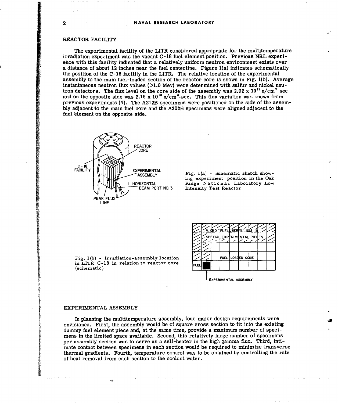# REACTOR FACILITY

The experimental facility of the LITR considered appropriate for the multitemperature irradiation experiment was the vacant **C-18** fuel element position. Previous NRL experience with this facility indicated that a relatively uniform neutron environment exists over a distance of about 12 inches near the fuel centerline. Figure  $1(a)$  indicates schematically the position of the **C-18** facility in the LITR. The relative location of the experimental assembly to the main fuel-loaded section of the reactor core is shown in Fig. **1(b).** Average instantaneous neutron flux values **(>1.0** Mev) were determined with sulfur and nickel neutron detectors. The flux level on the core side of the assembly was  $2.92 \times 10^{12}$  n/cm<sup>2</sup>-sec and on the opposite side was 2.15 x 10<sup>12</sup> n/cm<sup>2</sup>-sec. This flux variation was known from previous experiments (4). The A212B specimens were positioned on the side of the assem**bly** adjacent to the main fuel core and the A302B specimens were aligned adjacent to the fuel element on the opposite side.



**ASSEMBLY** Fig. 1(a) - Schematic sketch showing experiment position in the Oak HORIZONTAL Ridge National Laboratory Low<br>BEAM PORT NO.3 Intensity Test Reactor Intensity Test Reactor

Fig. 1(b) - Irradiation-assembly location  $\lfloor \frac{f}{f}\rfloor$  **FUEL LOADED** CORE in LITR C-18 in relation to reactor core (schematic)



**tEXPERIMENTAL ASSEMBLY**

#### EXPERIMENTAL **ASSEMBLY**

In planning the multitemperature assembly, four major design requirements were envisioned. First, the assembly would be of square cross section to fit into the existing dummy fuel element piece and, at the same time, provide a maximum number of specimens in the limited space available. Second, this relatively large number of specimens per assembly section was to serve as a self-heater in the high gamma flux. Third, intimate contact between specimens in each section would be required to minimize transverse thermal gradients. Fourth, temperature control was to be obtained **by** controlling the rate of heat removal from each section to the coolant water.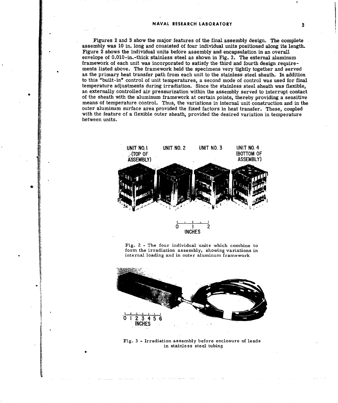Figures 2 and **3** show the major features of the final assembly design. The complete assembly was **10** in. long and consisted of four individual units positioned along its length. Figure 2 shows the individual units before assembly and encapsulation in an overall envelope of 0.010-in.-thick stainless steel as shown in Fig. **3.** The external aluminum framework of each unit was incorporated to satisfy the third and fourth design requirements listed above. The framework held the specimens very tightly together and served as the primary heat transfer path from each unit to the stainless steel sheath. In addition to this "built-in" control of unit temperatures, a second mode of control was used for final temperature adjustments during irradiation. Since the stainless steel sheath was flexible, an externally controlled air pressurization within the assembly served to interrupt contact of the sheath with the aluminum framework at certain points, thereby providing a sensitive means of temperature control. Thus, the variations in internal unit construction and in the outer aluminum surface area provided the fixed factors in heat transfer. These, coupled with the feature of a flexible outer sheath, provided the desired variation in temperature between units.



Fig. 2 **-** The four individual units which combine to form the irradiation assembly, showing variations in internal loading and in outer aluminum framework



Fig. 3 - Irradiation assembly before enclosure of leads<br>in stainless steel tubing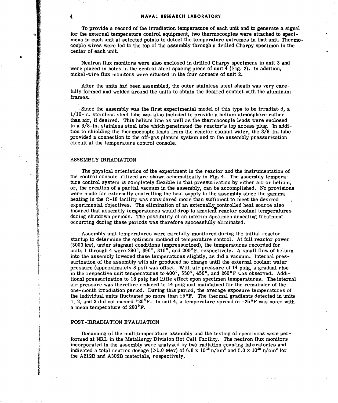# 4 **NAVAL RESEARCH LABORATORY**

To provide a record of the irradiation temperature of each unit and to generate a signal for the external temperature control equipment, two thermocouples were attached to specimens in each unit at selected points to detect the temperature extremes in that unit. Thermocouple wires were led to the top of the assembly through a drilled Charpy specimen in the center of each unit.

Neutron flux monitors were also enclosed in drilled Charpy specimens in unit **3** and were placed in holes in the central steel spacing piece of unit  $4$  (Fig. 2). In addition, nickel-wire flux monitors were situated in the four corners of unit 2.

After the units had been assembled, the outer stainless steel sheath was very carefully formed and welded around the units to obtain the desired contact with the aluminum frames.

Since the assembly was the first experimental model of this type to be irradiat **d,** a 1/16-in. stainless steel tube was also included to provide a helium atmosphere rather **than** air, if desired. This helium line as well as the thermocouple leads were enclosed **in** a 3/8-in. stainless steel tube which penetrated the reactor's top access plug. In addi**tion** to shielding the thermocouple leads from the reactor coolant water, the 3/8-in. tube provided a connection to the off-gas plenum system and to the assembly pressurization circuit at the temperature control console.

#### ASSEMBLY IRRADIATION

The physical orientation of the experiment in the reactor and the instrumentation of the control console utilized are shown schematically in Fig. 4. The assembly temperature control system is completely flexible in that pressurization by either air or helium, or, the creation of a partial vacuum in the assembly, can be accomplished. No provisions were made for externally controlling the heat supply to the assembly since the gamma heating in the **C-18** facility was considered more than sufficient to meet the desired experimental objectives. The elimination of an externally controlled heat source also insured that assembly temperatures would drop to ambient reactor coolant temperatures during shutdown periods. The possibility of an interim specimen annealing treatment occurring during these periods was therefore successfully eliminated.

Assembly unit temperatures were carefully monitored during the initial reactor startup to determine the optimum method of temperature control. At full reactor power (3000 kw), under stagnant conditions (unpressurized), the temperatures recorded for units 1 through 4 were 290<sup>°</sup>, 390<sup>°</sup>, 310<sup>°</sup>, and 200<sup>°</sup>F, respectively. A small flow of helium into the assembly lowered these temperatures slightly, as did a vacuum. Internal pres surization of the assembly with air produced no change until the external coolant water pressure (approximately 8 psi) was offset. With air pressure of 14 psig, a gradual rise in the respective unit temperatures to 4000, **5500,** 4500, and **260°F** was observed. Additional pressurization to **18** psig had little effect upon specimen temperatures. The internal air pressure was therefore reduced to 14 psig and maintained for the remainder of the one-month irradiation period. During this period, the average exposure temperatures of the individual units fluctuated no more than **±50F.** The thermal gradients detected in units 1, 2, and 3 did not exceed  $\text{\textsterling}20^{\degree}\text{F}$ . In unit 4, a temperature spread of  $\text{\textsterling}25^{\degree}\text{F}$  was noted with a mean temperature of 260<sup>°</sup>F.

#### POST-IRRADIATION EVALUATION

Decanning of the multitemperature assembly and the testing of specimens were performed at NRL in the Metallurgy Division Hot Cell Facility. The neutron **flux** monitors incorporated in the assembly were analyzed by two radiation counting laboratories and indicated a total neutron dosage ( $>1.0$  Mev) of 6.6 x 10<sup>18</sup> n/cm<sup>2</sup> and 5.0 x 10<sup>18</sup> n/cm<sup>2</sup> for the A212B and A302B materials, respectively.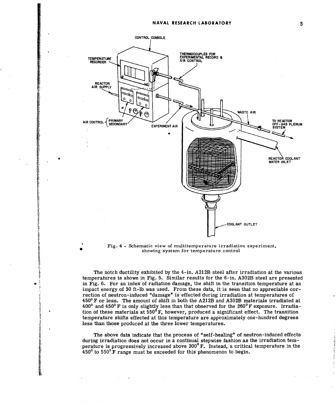

Fig. 4 **-** Schematic view of multitemperature irradiation experiment, showing system for temperature control

The notch ductility exhibited by the 4-in. A212B steel after irradiation at the various temperatures is shown in Fig. **5.** Similar results for the 6-in. A302B steel are presented in Fig. **6.** For an index of radiation damage, the shift in the transition temperature at an impact energy of **30** ft-lb was used. From these data, it is seen that no appreciable correction of neutron-induced "damage" is effected during irradiation at temperatures of 4500F or less. The amount of shift in both the A212B and A302B materials irradiated at 400<sup>o</sup> and 450<sup>o</sup> F is only slightly less than that observed for the 260<sup>o</sup> F exposure. Irradiation of these materials at  $550^{\circ}$  **F**, however, produced a significant effect. The transition temperature shifts effected at this temperature are approximately one-hundred degrees less than those produced at the three lower temperatures.

The above data indicate that the process of "self-healing" of neutron-induced effects during irradiation does not occur in a continual stepwise fashion as the irradiation temperature is progressively increased above  $200^{\circ}$  F. Instead, a critical temperature in the  $450^{\circ}$  to  $550^{\circ}$  F range must be exceeded for this phenomenon to begin.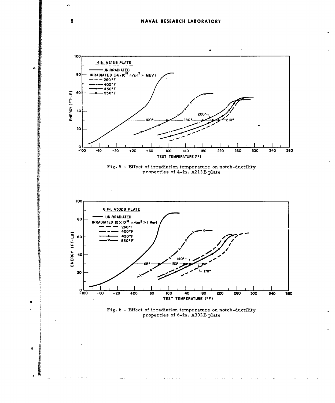# NAVAL RESEARCH LABORATORY









and a state

 $\Delta \sim 10^{-1}$  km  $^{-1}$ 

**Contractor** 

 $\sim 10$  $\sim$   $\sim$   $\Delta$  and  $\Delta$ 

 $6\phantom{1}6$ 

 $\bullet$ 

 $\bullet$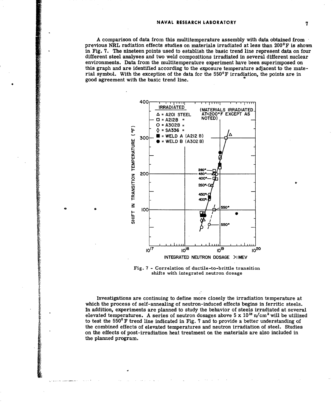**A** comparison of data from this multitemperature assembly with data obtained from previous NRL radiation effects studies on materials irradiated at less than  $200^{\circ}$ F is shown in Fig. **7.** The nineteen points used to establish the basic trend line represent data on four different steel analyses and two weld compositions irradiated in several different nuclear environments. Data from the multitemperature experiment have been superimposed on this graph and are identified according to the exposure temperature adjacent to the material symbol. With the exception of the data for the 550<sup>°</sup>F irradiation, the points are in good agreement with the basic trend line.



**Fig. 7** - **Correlation of ductile-to-brittle transition** shifts with integrated neutron dosage

**Investigations are continuing to define more closely the irradiation temperature at which the process of self-annealing of neutron-induced effects begins in ferritic steels. In addition, experiments are planned to study the behavior of steels irradiated at several** elevated temperatures. A series of neutron dosages above  $5 \times 10^{18}$  n/cm<sup>2</sup> will be utilized **to test the 5500°F trend line indicated in Fig. 7 and to provide a better understanding of the combined effects of elevated temperatures and neutron irradiation of steel. Studies on the effects of post-irradiation heat treatment on the materials are also included in the planned program.**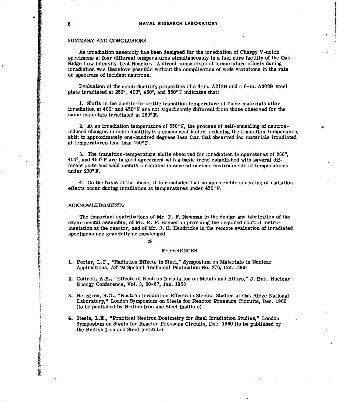# **8 NAVAL RESEARCH LABORATORY**

# SUMMARY **AND CONCLUSIONS**

An irradiation assembly has been designed for the irradiation of Charpy V-notch specimens at four different temperatures simultaneously in a fuel core facility of the Oak Ridge Low Intensity Test Reactor. **A** direct comparison of temperature effects during irradiation was therefore possible without the complication of wide variations in the rate or spectrum of incident neutrons.

Evaluation of the notch-ductility properties of a 4-in. A212B and a 6-in. A302B steel plate irradiated at **2600,** 4000, **4500,** and **5500F** indicates that:

**1.** Shifts in the ductile-to-brittle transition temperature of these materials after irradiation at  $400^{\circ}$  and  $450^{\circ}$  F are not significantly different from those observed for the same materials irradiated at **2600** F.

2. At an irradiation temperature of **5500** F, the process of self-annealing of neutroninduced changes in notch ductility is a concurrent factor, reducing the transition-temperature shift to approximately one-hundred degrees less than that observed for materials irradiated at temperatures less than 4500 F.

**3.** The transition-temperature shifts observed for irradiation temperatures of **2600,**  $400^\circ$ , and  $450^\circ$  F are in good agreement with a basic trend established with several different plate and weld metals irradiated in several nuclear environments at temperatures **under** 2000 F.

4. On the basis of the above, it is concluded that no appreciable annealing of radiation effects occur during irradiation at temperatures under **4500** F.

#### **ACKNOWLEDGMENTS**

The important contributions of Mr. F. F. Newman in the design and fabrication of the experimental assembly, of Mr. R. F. Bryner in providing the required control instrumentation at the reactor, and of Mr. **J.** H. Hendricks in the remote evaluation of irradiated specimens are gratefully acknowledged.

# REFERENCES

- **1.** Porter, L.F., "Radiation Effects in Steel," Symposium on Materials in Nuclear Applications, **ASTM** Special Technical Publication No. 276, Oct. **1960**
- 2. Cottrell, **A.H.,** "Effects of Neutron Irradiation on Metals and Alloys," **J.** Brit. Nuclear Energy Conference, Vol. **3, 50-67,** Jan. **1958**
- **3.** Berggren, R.G., "Neutron Irradiation Effects in Steels: Studies at Oak Ridge National Laboratory,\* London Symposium on Steels for Reactor Pressure Circuits, Dec. **1960** (to be published **by** British Iron and Steel Institute)
- 4. Steele, **L.E.,** "Practical Neutron Dosimetry for Steel Irradiation Studies," London Symposium on Steels for Reactor Pressure Circuits, Dec. **1960** (to be published **by** the British Iron and Steel Institute)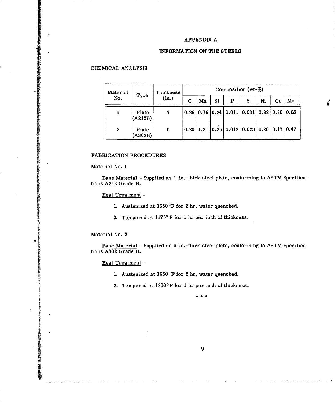# **APPENDIX A**

# INFORMATION **ON** THE **STEELS**

# **CHEMICAL** ANALYSIS

| Material<br>No. | Type             | Thickness<br>(in.) | Composition (wt-%) |    |    |   |                                                                                                                      |    |                        |       |  |
|-----------------|------------------|--------------------|--------------------|----|----|---|----------------------------------------------------------------------------------------------------------------------|----|------------------------|-------|--|
|                 |                  |                    | С                  | Mn | Si | P | S                                                                                                                    | Ni | $\mathbf{C}\mathbf{r}$ | Mo    |  |
|                 | Plate<br>(A212B) | 4                  |                    |    |    |   | $\vert 0.26 \vert \, 0.76 \, \vert 0.24 \, \vert \, 0.011 \, \vert \, 0.031 \, \vert \, 0.22 \, \vert 0.20 \, \vert$ |    |                        | 10.02 |  |
| $\bf{2}$        | Plate<br>(A302B) | 6                  |                    |    |    |   | $\vert 0.20 \vert 1.31 \vert 0.25 \vert 0.012 \vert 0.023 \vert 0.20 \vert 0.17 \vert 0.47$                          |    |                        |       |  |

Ì

# FABRICATION PROCEDURES

Material No. 1

Base Material - Supplied as 4-in.-thick steel plate, conforming to ASTM Specifications A212 Grade B.

Heat Treatment -

**1.** Austenized at 1650'F for 2 hr, water quenched.

2. Tempered at 11750 F for **1** hr per inch of thickness.

Material No. 2

**INSTRUCTION CONTRACTOR** 

Base Material - Supplied as 6-in.-thick steel plate, conforming to ASTM Specifications A302 Grade B.

Heat Treatment -

1. Austenized at  $1650^{\circ}$ F for 2 hr, water quenched.

2. Tempered at  $1200^{\circ}$ F for 1 hr per inch of thickness.

 $* * *$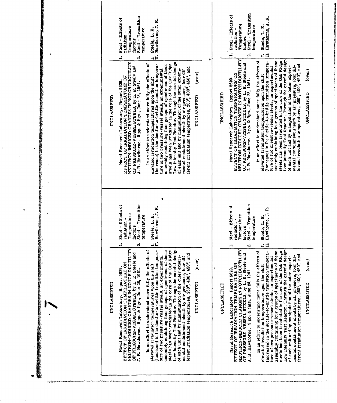Steel - Transition Steel - Effects of Steel - Transition Hawthorne, J. R. Steel - Effects of Hawthorne, J. R. Temperature temperature Steele, L. E. Temperature Steele, L. E. temperature radiation radiation **factors** factors …<br>ロロ  $\ddot{ }$  $\ddot{\mathbf{a}}$ \_<br>ਸ  $\ddot{ }$  $\ddot{\mathbf{a}}$ NEUTRON-INDUCED CHANGES IN NOTCH DUCTILITY<br>OF PRESSURE-VESSEL STEELS, by L. E. Steele and<br>J. R. Hawthorne. 9 pp. & figs., June 28, 1961. Low Intensity Test Reactor. Through the careful design<br>of each unit and by manipulation of the outer experielevated irradiation temperatures upon the shift<br>(increase) in the ductile-to-brittle transition tempera-In an effort to understand more fully the effects of ture of two pressure-vessel steels, an experimental<br>assembly containing four groups of specimens of these steels has been irradiated in the core of the Oak Ridge NEUTRON-INDUCED CHANGES IN NOTCH DUCTILITY<br>OF PRESSURE-VESSEL STEELS, by L. E. Steele and Low Intensity Test Reactor. Through the careful design elevated irradiation temperatures upon the shift<br>(increase) in the ductile-to-brittle transition temperature of two pressure-vessel steels, an experimental<br>assembly containing four groups of specimens of these<br>steels has been irradiated in the core of the Oak Ridge In an effort to understand more fully the effects of mental containment sheath by air pressure, four dif-<br>ferent irradiation temperatures, 260°, 400°, 450°, and mental containment sheath by air pressure, four dif-<br>ferent irradiation temperatures, 260°, 400°, 450°, and of each unit and by manipulation of the outer experir (over)  $(over)$ EFFECT OF IRRADIATION TEMPERATURE ON EFFECT OF IRRADIATION TEMPERATURE ON Naval Research Laboratory. Report 5629. Naval Research Laboratory. Report 5629. J. R. Hawthorne. 9 pp. & figs., June 28, 1961. **UNCLASSIFIED** UNCLASSIFIED **UNCLASSIFIED JNCLASSIFIED** Steel - Transition Steel - Transition Steel - Effects of Steel - Effects of Hawthorne, J. R. Hawthorne, J. R. Temperature Temperature temperature Steele, L. E. temperature Steele, L. E. radiation radiation factors factors .<br>H  $\ddot{ }$  $\ddot{ }$  $\vec{p}$  $\mathbf{a}$  $\ddot{\mathbf{c}}$ NEUTRON-INDUCED CHANGES IN NOTCH DUCTILITY<br>OF PRESSURE-VESSEL STEELS, by L. E. Steele and<br>J. R. Hawthorne. 9 pp. & figs., June 28, 1961. Low Intensity Test Reactor. Through the careful design EFFECT OF IRRADIATION TEMPERATURE ON<br>NEUTRON-INDUCED CHANGES IN NOTCH DUCTILITY<br>OF PRESSURE-VESSEL STEELS, by L. E. Steele and<br>J. R. Hawthorne. 9 pp. & figs., June 28, 1961. Low Intensity Test Reactor. Through the careful design of each unit and by manipulation of the outer experi-(increase) in the ductile-to-brittle transition temperature of two pressure-vessel steels, an experimental<br>assembly containing four groups of specimens of these steels has been irradiated in the core of the Oak Ridge elevated irradiation temperatures upon the shift<br>(increase) in the ductile-to-brittle transition tempera-In an effort to understand more fully the effects of In an effort to understand more fully the effects of ture of two pressure-vessel steels, an experimental<br>assembly containing four groups of specimens of these<br>steels has been irradiated in the core of the Oak Ridge mental containment sheath by air pressure, four dif-<br>ferent irradiation temperatures, 260°, 400°, 450°, and mental containment sheath by air pressure, four dif-<br>ferent irradiation temperatures, 260°, 400°, 450°, and of each unit and by manipulation of the outer experi-(over) (over) EFFECT OF IRRADIATION TEMPERATURE ON elevated irradiation temperatures upon the shift Naval Research Laboratory. Report 5629. Naval Research Laboratory. Report 5629. **UNCLASSIFIED** UNCLASSIFIED **UNCLASSIFIED UNCLASSIFIED** 

**移植物植物 经经营的经济的经济的**